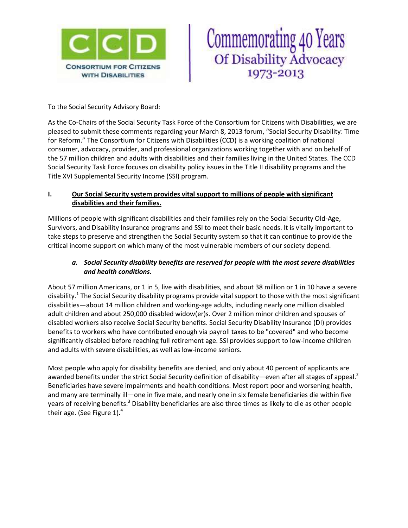

# Commemorating 40 Years<br>Of Disability Advocacy 1973-2013

To the Social Security Advisory Board:

As the Co-Chairs of the Social Security Task Force of the Consortium for Citizens with Disabilities, we are pleased to submit these comments regarding your March 8, 2013 forum, "Social Security Disability: Time for Reform." The Consortium for Citizens with Disabilities (CCD) is a working coalition of national consumer, advocacy, provider, and professional organizations working together with and on behalf of the 57 million children and adults with disabilities and their families living in the United States. The CCD Social Security Task Force focuses on disability policy issues in the Title II disability programs and the Title XVI Supplemental Security Income (SSI) program.

#### **I. Our Social Security system provides vital support to millions of people with significant disabilities and their families.**

Millions of people with significant disabilities and their families rely on the Social Security Old-Age, Survivors, and Disability Insurance programs and SSI to meet their basic needs. It is vitally important to take steps to preserve and strengthen the Social Security system so that it can continue to provide the critical income support on which many of the most vulnerable members of our society depend.

### *a. Social Security disability benefits are reserved for people with the most severe disabilities and health conditions.*

About 57 million Americans, or 1 in 5, live with disabilities, and about 38 million or 1 in 10 have a severe disability.<sup>1</sup> The Social Security disability programs provide vital support to those with the most significant disabilities—about 14 million children and working-age adults, including nearly one million disabled adult children and about 250,000 disabled widow(er)s. Over 2 million minor children and spouses of disabled workers also receive Social Security benefits. Social Security Disability Insurance (DI) provides benefits to workers who have contributed enough via payroll taxes to be "covered" and who become significantly disabled before reaching full retirement age. SSI provides support to low-income children and adults with severe disabilities, as well as low-income seniors.

Most people who apply for disability benefits are denied, and only about 40 percent of applicants are awarded benefits under the strict Social Security definition of disability—even after all stages of appeal.<sup>2</sup> Beneficiaries have severe impairments and health conditions. Most report poor and worsening health, and many are terminally ill—one in five male, and nearly one in six female beneficiaries die within five years of receiving benefits.<sup>3</sup> Disability beneficiaries are also three times as likely to die as other people their age. (See Figure 1). $4$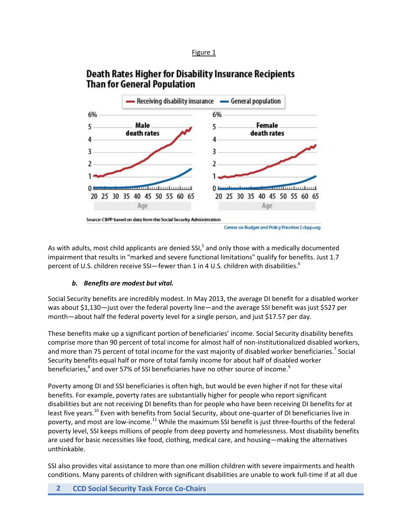#### Figure 1

# **Death Rates Higher for Disability Insurance Recipients Than for General Population**



As with adults, most child applicants are denied SSI,<sup>5</sup> and only those with a medically documented impairment that results in "marked and severe functional limitations" qualify for benefits. Just 1.7 percent of U.S. children receive SSI—fewer than 1 in 4 U.S. children with disabilities.<sup>6</sup>

#### *b. Benefits are modest but vital.*

Social Security benefits are incredibly modest. In May 2013, the average DI benefit for a disabled worker was about \$1,130—just over the federal poverty line—and the average SSI benefit was just \$527 per month—about half the federal poverty level for a single person, and just \$17.57 per day.

These benefits make up a significant portion of beneficiaries' income. Social Security disability benefits comprise more than 90 percent of total income for almost half of non-institutionalized disabled workers, and more than 75 percent of total income for the vast majority of disabled worker beneficiaries.<sup>7</sup> Social Security benefits equal half or more of total family income for about half of disabled worker beneficiaries, $^8$  and over 57% of SSI beneficiaries have no other source of income. $^9$ 

Poverty among DI and SSI beneficiaries is often high, but would be even higher if not for these vital benefits. For example, poverty rates are substantially higher for people who report significant disabilities but are not receiving DI benefits than for people who have been receiving DI benefits for at least five years.<sup>10</sup> Even with benefits from Social Security, about one-quarter of DI beneficiaries live in poverty, and most are low-income.<sup>11</sup> While the maximum SSI benefit is just three-fourths of the federal poverty level, SSI keeps millions of people from deep poverty and homelessness. Most disability benefits are used for basic necessities like food, clothing, medical care, and housing—making the alternatives unthinkable.

SSI also provides vital assistance to more than one million children with severe impairments and health conditions. Many parents of children with significant disabilities are unable to work full-time if at all due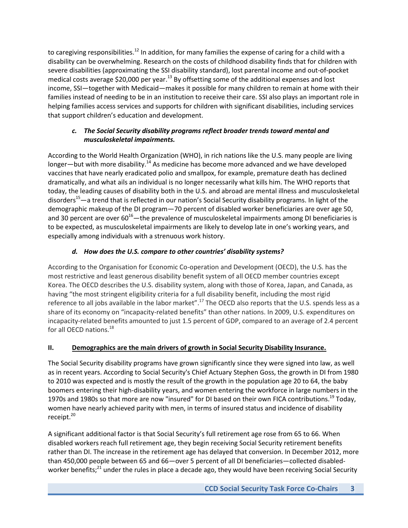to caregiving responsibilities.<sup>12</sup> In addition, for many families the expense of caring for a child with a disability can be overwhelming. Research on the costs of childhood disability finds that for children with severe disabilities (approximating the SSI disability standard), lost parental income and out-of-pocket medical costs average \$20,000 per year.<sup>13</sup> By offsetting some of the additional expenses and lost income, SSI—together with Medicaid—makes it possible for many children to remain at home with their families instead of needing to be in an institution to receive their care. SSI also plays an important role in helping families access services and supports for children with significant disabilities, including services that support children's education and development.

# *c. The Social Security disability programs reflect broader trends toward mental and musculoskeletal impairments.*

According to the World Health Organization (WHO), in rich nations like the U.S. many people are living longer—but with more disability.<sup>14</sup> As medicine has become more advanced and we have developed vaccines that have nearly eradicated polio and smallpox, for example, premature death has declined dramatically, and what ails an individual is no longer necessarily what kills him. The WHO reports that today, the leading causes of disability both in the U.S. and abroad are mental illness and musculoskeletal disorders<sup>15</sup>—a trend that is reflected in our nation's Social Security disability programs. In light of the demographic makeup of the DI program—70 percent of disabled worker beneficiaries are over age 50, and 30 percent are over  $60^{16}$ —the prevalence of musculoskeletal impairments among DI beneficiaries is to be expected, as musculoskeletal impairments are likely to develop late in one's working years, and especially among individuals with a strenuous work history.

# *d. How does the U.S. compare to other countries' disability systems?*

According to the Organisation for Economic Co-operation and Development (OECD), the U.S. has the most restrictive and least generous disability benefit system of all OECD member countries except Korea. The OECD describes the U.S. disability system, along with those of Korea, Japan, and Canada, as having "the most stringent eligibility criteria for a full disability benefit, including the most rigid reference to all jobs available in the labor market".<sup>17</sup> The OECD also reports that the U.S. spends less as a share of its economy on "incapacity-related benefits" than other nations. In 2009, U.S. expenditures on incapacity-related benefits amounted to just 1.5 percent of GDP, compared to an average of 2.4 percent for all OECD nations.<sup>18</sup>

# **II. Demographics are the main drivers of growth in Social Security Disability Insurance.**

The Social Security disability programs have grown significantly since they were signed into law, as well as in recent years. According to Social Security's Chief Actuary Stephen Goss, the growth in DI from 1980 to 2010 was expected and is mostly the result of the growth in the population age 20 to 64, the baby boomers entering their high-disability years, and women entering the workforce in large numbers in the 1970s and 1980s so that more are now "insured" for DI based on their own FICA contributions.<sup>19</sup> Today, women have nearly achieved parity with men, in terms of insured status and incidence of disability receipt.<sup>20</sup>

A significant additional factor is that Social Security's full retirement age rose from 65 to 66. When disabled workers reach full retirement age, they begin receiving Social Security retirement benefits rather than DI. The increase in the retirement age has delayed that conversion. In December 2012, more than 450,000 people between 65 and 66—over 5 percent of all DI beneficiaries—collected disabledworker benefits;<sup>21</sup> under the rules in place a decade ago, they would have been receiving Social Security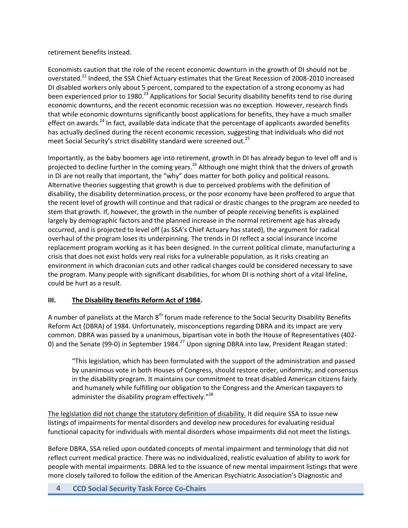retirement benefits instead.

Economists caution that the role of the recent economic downturn in the growth of DI should not be overstated.<sup>22</sup> Indeed, the SSA Chief Actuary estimates that the Great Recession of 2008-2010 increased DI disabled workers only about 5 percent, compared to the expectation of a strong economy as had been experienced prior to 1980.<sup>23</sup> Applications for Social Security disability benefits tend to rise during economic downturns, and the recent economic recession was no exception. However, research finds that while economic downturns significantly boost applications for benefits, they have a much smaller effect on awards.<sup>24</sup> In fact, available data indicate that the percentage of applicants awarded benefits has actually declined during the recent economic recession, suggesting that individuals who did not meet Social Security's strict disability standard were screened out.<sup>25</sup>

Importantly, as the baby boomers age into retirement, growth in DI has already begun to level off and is projected to decline further in the coming years.<sup>26</sup> Although one might think that the drivers of growth in DI are not really that important, the "why" does matter for both policy and political reasons. Alternative theories suggesting that growth is due to perceived problems with the definition of disability, the disability determination process, or the poor economy have been proffered to argue that the recent level of growth will continue and that radical or drastic changes to the program are needed to stem that growth. If, however, the growth in the number of people receiving benefits is explained largely by demographic factors and the planned increase in the normal retirement age has already occurred, and is projected to level off (as SSA's Chief Actuary has stated), the argument for radical overhaul of the program loses its underpinning. The trends in DI reflect a social insurance income replacement program working as it has been designed. In the current political climate, manufacturing a crisis that does not exist holds very real risks for a vulnerable population, as it risks creating an environment in which draconian cuts and other radical changes could be considered necessary to save the program. Many people with significant disabilities, for whom DI is nothing short of a vital lifeline, could be hurt as a result.

# **III. The Disability Benefits Reform Act of 1984.**

A number of panelists at the March 8<sup>th</sup> forum made reference to the Social Security Disability Benefits Reform Act (DBRA) of 1984. Unfortunately, misconceptions regarding DBRA and its impact are very common. DBRA was passed by a unanimous, bipartisan vote in both the House of Representatives (402- 0) and the Senate (99-0) in September 1984.<sup>27</sup> Upon signing DBRA into law, President Reagan stated:

"This legislation, which has been formulated with the support of the administration and passed by unanimous vote in both Houses of Congress, should restore order, uniformity, and consensus in the disability program. It maintains our commitment to treat disabled American citizens fairly and humanely while fulfilling our obligation to the Congress and the American taxpayers to administer the disability program effectively."<sup>28</sup>

The legislation did not change the statutory definition of disability. It did require SSA to issue new listings of impairments for mental disorders and develop new procedures for evaluating residual functional capacity for individuals with mental disorders whose impairments did not meet the listings.

Before DBRA, SSA relied upon outdated concepts of mental impairment and terminology that did not reflect current medical practice. There was no individualized, realistic evaluation of ability to work for people with mental impairments. DBRA led to the issuance of new mental impairment listings that were more closely tailored to follow the edition of the American Psychiatric Association's Diagnostic and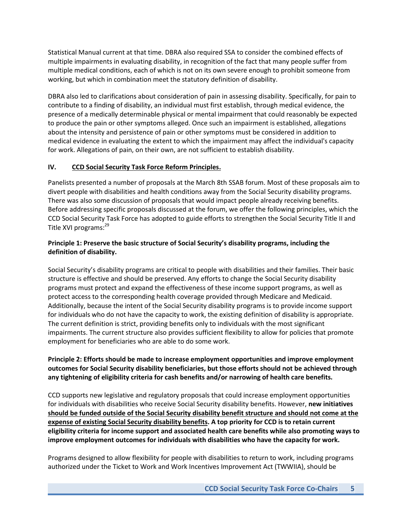Statistical Manual current at that time. DBRA also required SSA to consider the combined effects of multiple impairments in evaluating disability, in recognition of the fact that many people suffer from multiple medical conditions, each of which is not on its own severe enough to prohibit someone from working, but which in combination meet the statutory definition of disability.

DBRA also led to clarifications about consideration of pain in assessing disability. Specifically, for pain to contribute to a finding of disability, an individual must first establish, through medical evidence, the presence of a medically determinable physical or mental impairment that could reasonably be expected to produce the pain or other symptoms alleged. Once such an impairment is established, allegations about the intensity and persistence of pain or other symptoms must be considered in addition to medical evidence in evaluating the extent to which the impairment may affect the individual's capacity for work. Allegations of pain, on their own, are not sufficient to establish disability.

#### **IV. CCD Social Security Task Force Reform Principles.**

Panelists presented a number of proposals at the March 8th SSAB forum. Most of these proposals aim to divert people with disabilities and health conditions away from the Social Security disability programs. There was also some discussion of proposals that would impact people already receiving benefits. Before addressing specific proposals discussed at the forum, we offer the following principles, which the CCD Social Security Task Force has adopted to guide efforts to strengthen the Social Security Title II and Title XVI programs: 29

#### **Principle 1: Preserve the basic structure of Social Security's disability programs, including the definition of disability.**

Social Security's disability programs are critical to people with disabilities and their families. Their basic structure is effective and should be preserved. Any efforts to change the Social Security disability programs must protect and expand the effectiveness of these income support programs, as well as protect access to the corresponding health coverage provided through Medicare and Medicaid. Additionally, because the intent of the Social Security disability programs is to provide income support for individuals who do not have the capacity to work, the existing definition of disability is appropriate. The current definition is strict, providing benefits only to individuals with the most significant impairments. The current structure also provides sufficient flexibility to allow for policies that promote employment for beneficiaries who are able to do some work.

#### **Principle 2: Efforts should be made to increase employment opportunities and improve employment outcomes for Social Security disability beneficiaries, but those efforts should not be achieved through any tightening of eligibility criteria for cash benefits and/or narrowing of health care benefits.**

CCD supports new legislative and regulatory proposals that could increase employment opportunities for individuals with disabilities who receive Social Security disability benefits. However, **new initiatives should be funded outside of the Social Security disability benefit structure and should not come at the expense of existing Social Security disability benefits. A top priority for CCD is to retain current eligibility criteria for income support and associated health care benefits while also promoting ways to improve employment outcomes for individuals with disabilities who have the capacity for work.**

Programs designed to allow flexibility for people with disabilities to return to work, including programs authorized under the Ticket to Work and Work Incentives Improvement Act (TWWIIA), should be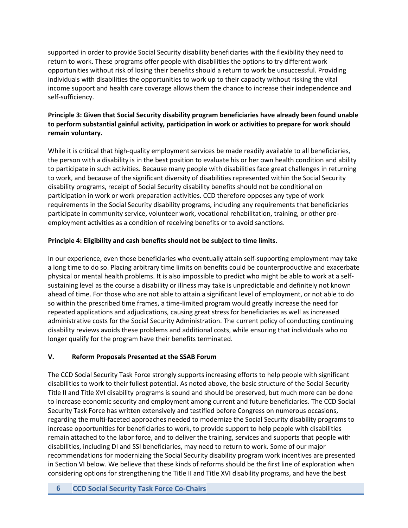supported in order to provide Social Security disability beneficiaries with the flexibility they need to return to work. These programs offer people with disabilities the options to try different work opportunities without risk of losing their benefits should a return to work be unsuccessful. Providing individuals with disabilities the opportunities to work up to their capacity without risking the vital income support and health care coverage allows them the chance to increase their independence and self-sufficiency.

### **Principle 3: Given that Social Security disability program beneficiaries have already been found unable to perform substantial gainful activity, participation in work or activities to prepare for work should remain voluntary.**

While it is critical that high-quality employment services be made readily available to all beneficiaries, the person with a disability is in the best position to evaluate his or her own health condition and ability to participate in such activities. Because many people with disabilities face great challenges in returning to work, and because of the significant diversity of disabilities represented within the Social Security disability programs, receipt of Social Security disability benefits should not be conditional on participation in work or work preparation activities. CCD therefore opposes any type of work requirements in the Social Security disability programs, including any requirements that beneficiaries participate in community service, volunteer work, vocational rehabilitation, training, or other preemployment activities as a condition of receiving benefits or to avoid sanctions.

### **Principle 4: Eligibility and cash benefits should not be subject to time limits.**

In our experience, even those beneficiaries who eventually attain self-supporting employment may take a long time to do so. Placing arbitrary time limits on benefits could be counterproductive and exacerbate physical or mental health problems. It is also impossible to predict who might be able to work at a selfsustaining level as the course a disability or illness may take is unpredictable and definitely not known ahead of time. For those who are not able to attain a significant level of employment, or not able to do so within the prescribed time frames, a time-limited program would greatly increase the need for repeated applications and adjudications, causing great stress for beneficiaries as well as increased administrative costs for the Social Security Administration. The current policy of conducting continuing disability reviews avoids these problems and additional costs, while ensuring that individuals who no longer qualify for the program have their benefits terminated.

#### **V. Reform Proposals Presented at the SSAB Forum**

The CCD Social Security Task Force strongly supports increasing efforts to help people with significant disabilities to work to their fullest potential. As noted above, the basic structure of the Social Security Title II and Title XVI disability programs is sound and should be preserved, but much more can be done to increase economic security and employment among current and future beneficiaries. The CCD Social Security Task Force has written extensively and testified before Congress on numerous occasions, regarding the multi-faceted approaches needed to modernize the Social Security disability programs to increase opportunities for beneficiaries to work, to provide support to help people with disabilities remain attached to the labor force, and to deliver the training, services and supports that people with disabilities, including DI and SSI beneficiaries, may need to return to work. Some of our major recommendations for modernizing the Social Security disability program work incentives are presented in Section VI below. We believe that these kinds of reforms should be the first line of exploration when considering options for strengthening the Title II and Title XVI disability programs, and have the best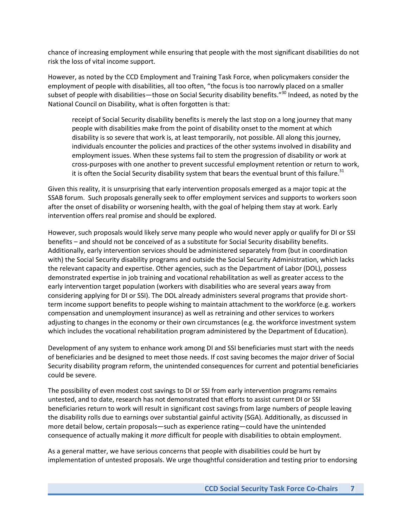chance of increasing employment while ensuring that people with the most significant disabilities do not risk the loss of vital income support.

However, as noted by the CCD Employment and Training Task Force, when policymakers consider the employment of people with disabilities, all too often, "the focus is too narrowly placed on a smaller subset of people with disabilities—those on Social Security disability benefits."<sup>30</sup> Indeed, as noted by the National Council on Disability, what is often forgotten is that:

receipt of Social Security disability benefits is merely the last stop on a long journey that many people with disabilities make from the point of disability onset to the moment at which disability is so severe that work is, at least temporarily, not possible. All along this journey, individuals encounter the policies and practices of the other systems involved in disability and employment issues. When these systems fail to stem the progression of disability or work at cross-purposes with one another to prevent successful employment retention or return to work, it is often the Social Security disability system that bears the eventual brunt of this failure.<sup>31</sup>

Given this reality, it is unsurprising that early intervention proposals emerged as a major topic at the SSAB forum. Such proposals generally seek to offer employment services and supports to workers soon after the onset of disability or worsening health, with the goal of helping them stay at work. Early intervention offers real promise and should be explored.

However, such proposals would likely serve many people who would never apply or qualify for DI or SSI benefits – and should not be conceived of as a substitute for Social Security disability benefits. Additionally, early intervention services should be administered separately from (but in coordination with) the Social Security disability programs and outside the Social Security Administration, which lacks the relevant capacity and expertise. Other agencies, such as the Department of Labor (DOL), possess demonstrated expertise in job training and vocational rehabilitation as well as greater access to the early intervention target population (workers with disabilities who are several years away from considering applying for DI or SSI). The DOL already administers several programs that provide shortterm income support benefits to people wishing to maintain attachment to the workforce (e.g. workers compensation and unemployment insurance) as well as retraining and other services to workers adjusting to changes in the economy or their own circumstances (e.g. the workforce investment system which includes the vocational rehabilitation program administered by the Department of Education).

Development of any system to enhance work among DI and SSI beneficiaries must start with the needs of beneficiaries and be designed to meet those needs. If cost saving becomes the major driver of Social Security disability program reform, the unintended consequences for current and potential beneficiaries could be severe.

The possibility of even modest cost savings to DI or SSI from early intervention programs remains untested, and to date, research has not demonstrated that efforts to assist current DI or SSI beneficiaries return to work will result in significant cost savings from large numbers of people leaving the disability rolls due to earnings over substantial gainful activity (SGA). Additionally, as discussed in more detail below, certain proposals—such as experience rating—could have the unintended consequence of actually making it *more* difficult for people with disabilities to obtain employment.

As a general matter, we have serious concerns that people with disabilities could be hurt by implementation of untested proposals. We urge thoughtful consideration and testing prior to endorsing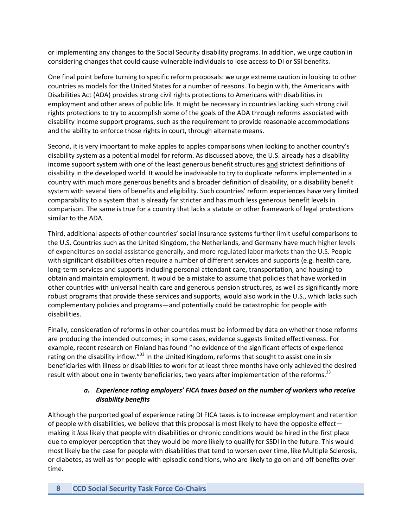or implementing any changes to the Social Security disability programs. In addition, we urge caution in considering changes that could cause vulnerable individuals to lose access to DI or SSI benefits.

One final point before turning to specific reform proposals: we urge extreme caution in looking to other countries as models for the United States for a number of reasons. To begin with, the Americans with Disabilities Act (ADA) provides strong civil rights protections to Americans with disabilities in employment and other areas of public life. It might be necessary in countries lacking such strong civil rights protections to try to accomplish some of the goals of the ADA through reforms associated with disability income support programs, such as the requirement to provide reasonable accommodations and the ability to enforce those rights in court, through alternate means.

Second, it is very important to make apples to apples comparisons when looking to another country's disability system as a potential model for reform. As discussed above, the U.S. already has a disability income support system with one of the least generous benefit structures and strictest definitions of disability in the developed world. It would be inadvisable to try to duplicate reforms implemented in a country with much more generous benefits and a broader definition of disability, or a disability benefit system with several tiers of benefits and eligibility. Such countries' reform experiences have very limited comparability to a system that is already far stricter and has much less generous benefit levels in comparison. The same is true for a country that lacks a statute or other framework of legal protections similar to the ADA.

Third, additional aspects of other countries' social insurance systems further limit useful comparisons to the U.S. Countries such as the United Kingdom, the Netherlands, and Germany have much higher levels of expenditures on social assistance generally, and more regulated labor markets than the U.S. People with significant disabilities often require a number of different services and supports (e.g. health care, long-term services and supports including personal attendant care, transportation, and housing) to obtain and maintain employment. It would be a mistake to assume that policies that have worked in other countries with universal health care and generous pension structures, as well as significantly more robust programs that provide these services and supports, would also work in the U.S., which lacks such complementary policies and programs—and potentially could be catastrophic for people with disabilities.

Finally, consideration of reforms in other countries must be informed by data on whether those reforms are producing the intended outcomes; in some cases, evidence suggests limited effectiveness. For example, recent research on Finland has found "no evidence of the significant effects of experience rating on the disability inflow."<sup>32</sup> In the United Kingdom, reforms that sought to assist one in six beneficiaries with illness or disabilities to work for at least three months have only achieved the desired result with about one in twenty beneficiaries, two years after implementation of the reforms.<sup>33</sup>

#### *a. Experience rating employers' FICA taxes based on the number of workers who receive disability benefits*

Although the purported goal of experience rating DI FICA taxes is to increase employment and retention of people with disabilities, we believe that this proposal is most likely to have the opposite effect making it *less* likely that people with disabilities or chronic conditions would be hired in the first place due to employer perception that they would be more likely to qualify for SSDI in the future. This would most likely be the case for people with disabilities that tend to worsen over time, like Multiple Sclerosis, or diabetes, as well as for people with episodic conditions, who are likely to go on and off benefits over time.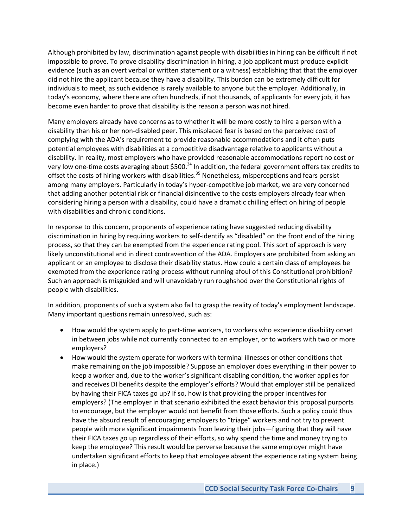Although prohibited by law, discrimination against people with disabilities in hiring can be difficult if not impossible to prove. To prove disability discrimination in hiring, a job applicant must produce explicit evidence (such as an overt verbal or written statement or a witness) establishing that that the employer did not hire the applicant because they have a disability. This burden can be extremely difficult for individuals to meet, as such evidence is rarely available to anyone but the employer. Additionally, in today's economy, where there are often hundreds, if not thousands, of applicants for every job, it has become even harder to prove that disability is the reason a person was not hired.

Many employers already have concerns as to whether it will be more costly to hire a person with a disability than his or her non-disabled peer. This misplaced fear is based on the perceived cost of complying with the ADA's requirement to provide reasonable accommodations and it often puts potential employees with disabilities at a competitive disadvantage relative to applicants without a disability. In reality, most employers who have provided reasonable accommodations report no cost or very low one-time costs averaging about \$500.<sup>34</sup> In addition, the federal government offers tax credits to offset the costs of hiring workers with disabilities.<sup>35</sup> Nonetheless, misperceptions and fears persist among many employers. Particularly in today's hyper-competitive job market, we are very concerned that adding another potential risk or financial disincentive to the costs employers already fear when considering hiring a person with a disability, could have a dramatic chilling effect on hiring of people with disabilities and chronic conditions.

In response to this concern, proponents of experience rating have suggested reducing disability discrimination in hiring by requiring workers to self-identify as "disabled" on the front end of the hiring process, so that they can be exempted from the experience rating pool. This sort of approach is very likely unconstitutional and in direct contravention of the ADA. Employers are prohibited from asking an applicant or an employee to disclose their disability status. How could a certain class of employees be exempted from the experience rating process without running afoul of this Constitutional prohibition? Such an approach is misguided and will unavoidably run roughshod over the Constitutional rights of people with disabilities.

In addition, proponents of such a system also fail to grasp the reality of today's employment landscape. Many important questions remain unresolved, such as:

- How would the system apply to part-time workers, to workers who experience disability onset in between jobs while not currently connected to an employer, or to workers with two or more employers?
- How would the system operate for workers with terminal illnesses or other conditions that make remaining on the job impossible? Suppose an employer does everything in their power to keep a worker and, due to the worker's significant disabling condition, the worker applies for and receives DI benefits despite the employer's efforts? Would that employer still be penalized by having their FICA taxes go up? If so, how is that providing the proper incentives for employers? (The employer in that scenario exhibited the exact behavior this proposal purports to encourage, but the employer would not benefit from those efforts. Such a policy could thus have the absurd result of encouraging employers to "triage" workers and not try to prevent people with more significant impairments from leaving their jobs—figuring that they will have their FICA taxes go up regardless of their efforts, so why spend the time and money trying to keep the employee? This result would be perverse because the same employer might have undertaken significant efforts to keep that employee absent the experience rating system being in place.)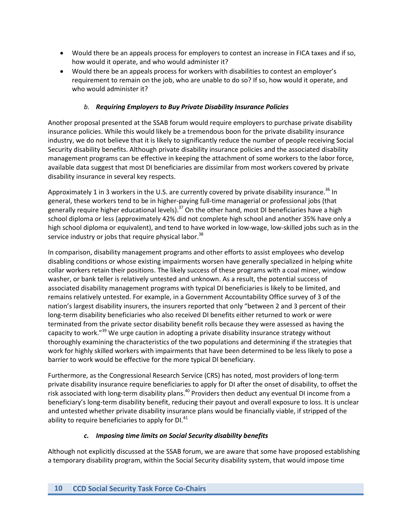- Would there be an appeals process for employers to contest an increase in FICA taxes and if so, how would it operate, and who would administer it?
- Would there be an appeals process for workers with disabilities to contest an employer's requirement to remain on the job, who are unable to do so? If so, how would it operate, and who would administer it?

### *b. Requiring Employers to Buy Private Disability Insurance Policies*

Another proposal presented at the SSAB forum would require employers to purchase private disability insurance policies. While this would likely be a tremendous boon for the private disability insurance industry, we do not believe that it is likely to significantly reduce the number of people receiving Social Security disability benefits. Although private disability insurance policies and the associated disability management programs can be effective in keeping the attachment of some workers to the labor force, available data suggest that most DI beneficiaries are dissimilar from most workers covered by private disability insurance in several key respects.

Approximately 1 in 3 workers in the U.S. are currently covered by private disability insurance.<sup>36</sup> In general, these workers tend to be in higher-paying full-time managerial or professional jobs (that generally require higher educational levels).<sup>37</sup> On the other hand, most DI beneficiaries have a high school diploma or less (approximately 42% did not complete high school and another 35% have only a high school diploma or equivalent), and tend to have worked in low-wage, low-skilled jobs such as in the service industry or jobs that require physical labor.<sup>38</sup>

In comparison, disability management programs and other efforts to assist employees who develop disabling conditions or whose existing impairments worsen have generally specialized in helping white collar workers retain their positions. The likely success of these programs with a coal miner, window washer, or bank teller is relatively untested and unknown. As a result, the potential success of associated disability management programs with typical DI beneficiaries is likely to be limited, and remains relatively untested. For example, in a Government Accountability Office survey of 3 of the nation's largest disability insurers, the insurers reported that only "between 2 and 3 percent of their long-term disability beneficiaries who also received DI benefits either returned to work or were terminated from the private sector disability benefit rolls because they were assessed as having the capacity to work."<sup>39</sup> We urge caution in adopting a private disability insurance strategy without thoroughly examining the characteristics of the two populations and determining if the strategies that work for highly skilled workers with impairments that have been determined to be less likely to pose a barrier to work would be effective for the more typical DI beneficiary.

Furthermore, as the Congressional Research Service (CRS) has noted, most providers of long-term private disability insurance require beneficiaries to apply for DI after the onset of disability, to offset the risk associated with long-term disability plans.<sup>40</sup> Providers then deduct any eventual DI income from a beneficiary's long-term disability benefit, reducing their payout and overall exposure to loss. It is unclear and untested whether private disability insurance plans would be financially viable, if stripped of the ability to require beneficiaries to apply for  $DI.<sup>41</sup>$ 

#### *c. Imposing time limits on Social Security disability benefits*

Although not explicitly discussed at the SSAB forum, we are aware that some have proposed establishing a temporary disability program, within the Social Security disability system, that would impose time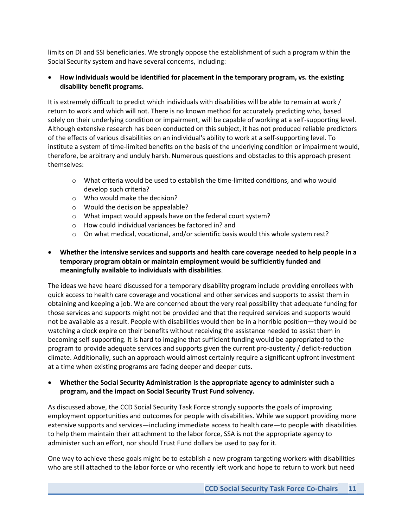limits on DI and SSI beneficiaries. We strongly oppose the establishment of such a program within the Social Security system and have several concerns, including:

#### **How individuals would be identified for placement in the temporary program, vs. the existing disability benefit programs.**

It is extremely difficult to predict which individuals with disabilities will be able to remain at work / return to work and which will not. There is no known method for accurately predicting who, based solely on their underlying condition or impairment, will be capable of working at a self-supporting level. Although extensive research has been conducted on this subject, it has not produced reliable predictors of the effects of various disabilities on an individual's ability to work at a self-supporting level. To institute a system of time-limited benefits on the basis of the underlying condition or impairment would, therefore, be arbitrary and unduly harsh. Numerous questions and obstacles to this approach present themselves:

- o What criteria would be used to establish the time-limited conditions, and who would develop such criteria?
- o Who would make the decision?
- o Would the decision be appealable?
- o What impact would appeals have on the federal court system?
- o How could individual variances be factored in? and
- $\circ$  On what medical, vocational, and/or scientific basis would this whole system rest?

#### **Whether the intensive services and supports and health care coverage needed to help people in a temporary program obtain or maintain employment would be sufficiently funded and meaningfully available to individuals with disabilities**.

The ideas we have heard discussed for a temporary disability program include providing enrollees with quick access to health care coverage and vocational and other services and supports to assist them in obtaining and keeping a job. We are concerned about the very real possibility that adequate funding for those services and supports might not be provided and that the required services and supports would not be available as a result. People with disabilities would then be in a horrible position—they would be watching a clock expire on their benefits without receiving the assistance needed to assist them in becoming self-supporting. It is hard to imagine that sufficient funding would be appropriated to the program to provide adequate services and supports given the current pro-austerity / deficit-reduction climate. Additionally, such an approach would almost certainly require a significant upfront investment at a time when existing programs are facing deeper and deeper cuts.

#### **Whether the Social Security Administration is the appropriate agency to administer such a program, and the impact on Social Security Trust Fund solvency.**

As discussed above, the CCD Social Security Task Force strongly supports the goals of improving employment opportunities and outcomes for people with disabilities. While we support providing more extensive supports and services—including immediate access to health care—to people with disabilities to help them maintain their attachment to the labor force, SSA is not the appropriate agency to administer such an effort, nor should Trust Fund dollars be used to pay for it.

One way to achieve these goals might be to establish a new program targeting workers with disabilities who are still attached to the labor force or who recently left work and hope to return to work but need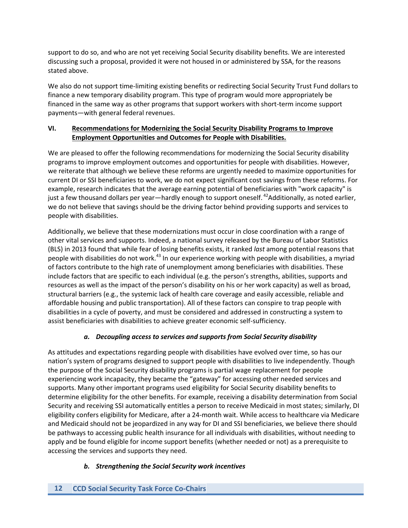support to do so, and who are not yet receiving Social Security disability benefits. We are interested discussing such a proposal, provided it were not housed in or administered by SSA, for the reasons stated above.

We also do not support time-limiting existing benefits or redirecting Social Security Trust Fund dollars to finance a new temporary disability program. This type of program would more appropriately be financed in the same way as other programs that support workers with short-term income support payments—with general federal revenues.

### **VI. Recommendations for Modernizing the Social Security Disability Programs to Improve Employment Opportunities and Outcomes for People with Disabilities.**

We are pleased to offer the following recommendations for modernizing the Social Security disability programs to improve employment outcomes and opportunities for people with disabilities. However, we reiterate that although we believe these reforms are urgently needed to maximize opportunities for current DI or SSI beneficiaries to work, we do not expect significant cost savings from these reforms. For example, research indicates that the average earning potential of beneficiaries with "work capacity" is just a few thousand dollars per year—hardly enough to support oneself. <sup>42</sup>Additionally, as noted earlier, we do not believe that savings should be the driving factor behind providing supports and services to people with disabilities.

Additionally, we believe that these modernizations must occur in close coordination with a range of other vital services and supports. Indeed, a national survey released by the Bureau of Labor Statistics (BLS) in 2013 found that while fear of losing benefits exists, it ranked *last* among potential reasons that people with disabilities do not work.<sup>43</sup> In our experience working with people with disabilities, a myriad of factors contribute to the high rate of unemployment among beneficiaries with disabilities. These include factors that are specific to each individual (e.g. the person's strengths, abilities, supports and resources as well as the impact of the person's disability on his or her work capacity) as well as broad, structural barriers (e.g., the systemic lack of health care coverage and easily accessible, reliable and affordable housing and public transportation). All of these factors can conspire to trap people with disabilities in a cycle of poverty, and must be considered and addressed in constructing a system to assist beneficiaries with disabilities to achieve greater economic self-sufficiency.

# *a. Decoupling access to services and supports from Social Security disability*

As attitudes and expectations regarding people with disabilities have evolved over time, so has our nation's system of programs designed to support people with disabilities to live independently. Though the purpose of the Social Security disability programs is partial wage replacement for people experiencing work incapacity, they became the "gateway" for accessing other needed services and supports. Many other important programs used eligibility for Social Security disability benefits to determine eligibility for the other benefits. For example, receiving a disability determination from Social Security and receiving SSI automatically entitles a person to receive Medicaid in most states; similarly, DI eligibility confers eligibility for Medicare, after a 24-month wait. While access to healthcare via Medicare and Medicaid should not be jeopardized in any way for DI and SSI beneficiaries, we believe there should be pathways to accessing public health insurance for all individuals with disabilities, without needing to apply and be found eligible for income support benefits (whether needed or not) as a prerequisite to accessing the services and supports they need.

# *b. Strengthening the Social Security work incentives*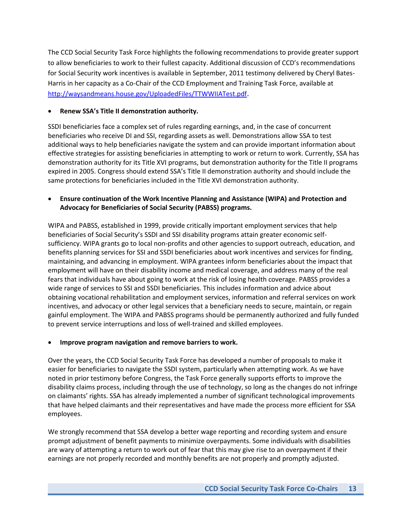The CCD Social Security Task Force highlights the following recommendations to provide greater support to allow beneficiaries to work to their fullest capacity. Additional discussion of CCD's recommendations for Social Security work incentives is available in September, 2011 testimony delivered by Cheryl Bates-Harris in her capacity as a Co-Chair of the CCD Employment and Training Task Force, available at <http://waysandmeans.house.gov/UploadedFiles/TTWWIIATest.pdf>.

#### **Renew SSA's Title II demonstration authority.**

SSDI beneficiaries face a complex set of rules regarding earnings, and, in the case of concurrent beneficiaries who receive DI and SSI, regarding assets as well. Demonstrations allow SSA to test additional ways to help beneficiaries navigate the system and can provide important information about effective strategies for assisting beneficiaries in attempting to work or return to work. Currently, SSA has demonstration authority for its Title XVI programs, but demonstration authority for the Title II programs expired in 2005. Congress should extend SSA's Title II demonstration authority and should include the same protections for beneficiaries included in the Title XVI demonstration authority.

#### **Ensure continuation of the Work Incentive Planning and Assistance (WIPA) and Protection and Advocacy for Beneficiaries of Social Security (PABSS) programs.**

WIPA and PABSS, established in 1999, provide critically important employment services that help beneficiaries of Social Security's SSDI and SSI disability programs attain greater economic selfsufficiency. WIPA grants go to local non-profits and other agencies to support outreach, education, and benefits planning services for SSI and SSDI beneficiaries about work incentives and services for finding, maintaining, and advancing in employment. WIPA grantees inform beneficiaries about the impact that employment will have on their disability income and medical coverage, and address many of the real fears that individuals have about going to work at the risk of losing health coverage. PABSS provides a wide range of services to SSI and SSDI beneficiaries. This includes information and advice about obtaining vocational rehabilitation and employment services, information and referral services on work incentives, and advocacy or other legal services that a beneficiary needs to secure, maintain, or regain gainful employment. The WIPA and PABSS programs should be permanently authorized and fully funded to prevent service interruptions and loss of well-trained and skilled employees.

#### **Improve program navigation and remove barriers to work.**

Over the years, the CCD Social Security Task Force has developed a number of proposals to make it easier for beneficiaries to navigate the SSDI system, particularly when attempting work. As we have noted in prior testimony before Congress, the Task Force generally supports efforts to improve the disability claims process, including through the use of technology, so long as the changes do not infringe on claimants' rights. SSA has already implemented a number of significant technological improvements that have helped claimants and their representatives and have made the process more efficient for SSA employees.

We strongly recommend that SSA develop a better wage reporting and recording system and ensure prompt adjustment of benefit payments to minimize overpayments. Some individuals with disabilities are wary of attempting a return to work out of fear that this may give rise to an overpayment if their earnings are not properly recorded and monthly benefits are not properly and promptly adjusted.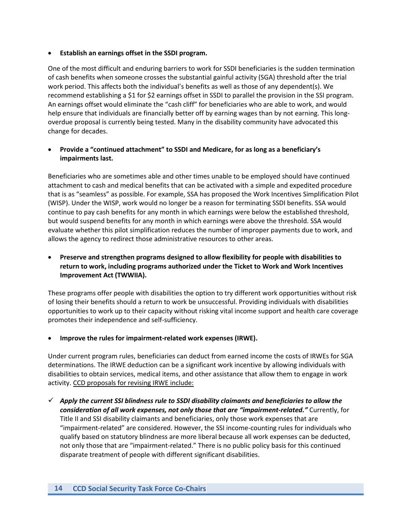#### **Establish an earnings offset in the SSDI program.**

One of the most difficult and enduring barriers to work for SSDI beneficiaries is the sudden termination of cash benefits when someone crosses the substantial gainful activity (SGA) threshold after the trial work period. This affects both the individual's benefits as well as those of any dependent(s). We recommend establishing a \$1 for \$2 earnings offset in SSDI to parallel the provision in the SSI program. An earnings offset would eliminate the "cash cliff" for beneficiaries who are able to work, and would help ensure that individuals are financially better off by earning wages than by not earning. This longoverdue proposal is currently being tested. Many in the disability community have advocated this change for decades.

#### **Provide a "continued attachment" to SSDI and Medicare, for as long as a beneficiary's impairments last.**

Beneficiaries who are sometimes able and other times unable to be employed should have continued attachment to cash and medical benefits that can be activated with a simple and expedited procedure that is as "seamless" as possible. For example, SSA has proposed the Work Incentives Simplification Pilot (WISP). Under the WISP, work would no longer be a reason for terminating SSDI benefits. SSA would continue to pay cash benefits for any month in which earnings were below the established threshold, but would suspend benefits for any month in which earnings were above the threshold. SSA would evaluate whether this pilot simplification reduces the number of improper payments due to work, and allows the agency to redirect those administrative resources to other areas.

#### **Preserve and strengthen programs designed to allow flexibility for people with disabilities to return to work, including programs authorized under the Ticket to Work and Work Incentives Improvement Act (TWWIIA).**

These programs offer people with disabilities the option to try different work opportunities without risk of losing their benefits should a return to work be unsuccessful. Providing individuals with disabilities opportunities to work up to their capacity without risking vital income support and health care coverage promotes their independence and self-sufficiency.

#### **Improve the rules for impairment-related work expenses (IRWE).**

Under current program rules, beneficiaries can deduct from earned income the costs of IRWEs for SGA determinations. The IRWE deduction can be a significant work incentive by allowing individuals with disabilities to obtain services, medical items, and other assistance that allow them to engage in work activity. CCD proposals for revising IRWE include:

 *Apply the current SSI blindness rule to SSDI disability claimants and beneficiaries to allow the consideration of all work expenses, not only those that are "impairment-related."* Currently, for Title II and SSI disability claimants and beneficiaries, only those work expenses that are "impairment-related" are considered. However, the SSI income-counting rules for individuals who qualify based on statutory blindness are more liberal because all work expenses can be deducted, not only those that are "impairment-related." There is no public policy basis for this continued disparate treatment of people with different significant disabilities.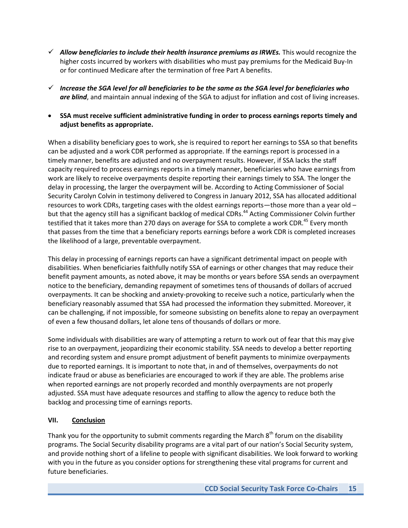- $\checkmark$  Allow beneficiaries to include their health insurance premiums as IRWEs. This would recognize the higher costs incurred by workers with disabilities who must pay premiums for the Medicaid Buy-In or for continued Medicare after the termination of free Part A benefits.
- *Increase the SGA level for all beneficiaries to be the same as the SGA level for beneficiaries who are blind*, and maintain annual indexing of the SGA to adjust for inflation and cost of living increases.
- **SSA must receive sufficient administrative funding in order to process earnings reports timely and adjust benefits as appropriate.**

When a disability beneficiary goes to work, she is required to report her earnings to SSA so that benefits can be adjusted and a work CDR performed as appropriate. If the earnings report is processed in a timely manner, benefits are adjusted and no overpayment results. However, if SSA lacks the staff capacity required to process earnings reports in a timely manner, beneficiaries who have earnings from work are likely to receive overpayments despite reporting their earnings timely to SSA. The longer the delay in processing, the larger the overpayment will be. According to Acting Commissioner of Social Security Carolyn Colvin in testimony delivered to Congress in January 2012, SSA has allocated additional resources to work CDRs, targeting cases with the oldest earnings reports—those more than a year old – but that the agency still has a significant backlog of medical CDRs. <sup>44</sup> Acting Commissioner Colvin further testified that it takes more than 270 days on average for SSA to complete a work CDR.<sup>45</sup> Every month that passes from the time that a beneficiary reports earnings before a work CDR is completed increases the likelihood of a large, preventable overpayment.

This delay in processing of earnings reports can have a significant detrimental impact on people with disabilities. When beneficiaries faithfully notify SSA of earnings or other changes that may reduce their benefit payment amounts, as noted above, it may be months or years before SSA sends an overpayment notice to the beneficiary, demanding repayment of sometimes tens of thousands of dollars of accrued overpayments. It can be shocking and anxiety-provoking to receive such a notice, particularly when the beneficiary reasonably assumed that SSA had processed the information they submitted. Moreover, it can be challenging, if not impossible, for someone subsisting on benefits alone to repay an overpayment of even a few thousand dollars, let alone tens of thousands of dollars or more.

Some individuals with disabilities are wary of attempting a return to work out of fear that this may give rise to an overpayment, jeopardizing their economic stability. SSA needs to develop a better reporting and recording system and ensure prompt adjustment of benefit payments to minimize overpayments due to reported earnings. It is important to note that, in and of themselves, overpayments do not indicate fraud or abuse as beneficiaries are encouraged to work if they are able. The problems arise when reported earnings are not properly recorded and monthly overpayments are not properly adjusted. SSA must have adequate resources and staffing to allow the agency to reduce both the backlog and processing time of earnings reports.

# **VII. Conclusion**

Thank you for the opportunity to submit comments regarding the March  $8<sup>th</sup>$  forum on the disability programs. The Social Security disability programs are a vital part of our nation's Social Security system, and provide nothing short of a lifeline to people with significant disabilities. We look forward to working with you in the future as you consider options for strengthening these vital programs for current and future beneficiaries.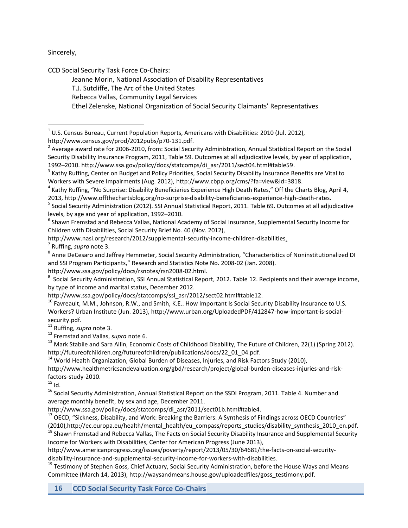Sincerely,

l

CCD Social Security Task Force Co-Chairs:

Jeanne Morin, National Association of Disability Representatives

T.J. Sutcliffe, The Arc of the United States

Rebecca Vallas, Community Legal Services

Ethel Zelenske, National Organization of Social Security Claimants' Representatives

http://www.census.gov/prod/2012pubs/p70-131.pdf.

<sup>6</sup> Shawn Fremstad and Rebecca Vallas, National Academy of Social Insurance, Supplemental Security Income for Children with Disabilities, Social Security Brief No. 40 (Nov. 2012),

http://www.nasi.org/research/2012/supplemental-security-income-children-disabilities.

7 Ruffing, *supra* note 3.

<sup>8</sup> Anne DeCesaro and Jeffrey Hemmeter, Social Security Administration, "Characteristics of Noninstitutionalized DI and SSI Program Participants," Research and Statistics Note No. 2008-02 (Jan. 2008). http://www.ssa.gov/policy/docs/rsnotes/rsn2008-02.html.

<sup>9</sup> Social Security Administration, SSI Annual Statistical Report, 2012. Table 12. Recipients and their average income, by type of income and marital status, December 2012.

http://www.ssa.gov/policy/docs/statcomps/ssi\_asr/2012/sect02.html#table12.

 $^{10}$  Favreault, M.M., Johnson, R.W., and Smith, K.E.. How Important Is Social Security Disability Insurance to U.S. Workers? Urban Institute (Jun. 2013), http://www.urban.org/UploadedPDF/412847-how-important-is-socialsecurity.pdf.

<sup>11</sup> Ruffing, *supra* note 3.

<sup>12</sup> Fremstad and Vallas, *supra* note 6.

<sup>13</sup> Mark Stabile and Sara Allin, Economic Costs of Childhood Disability, The Future of Children, 22(1) (Spring 2012). http://futureofchildren.org/futureofchildren/publications/docs/22\_01\_04.pdf.

 $14$  World Health Organization, Global Burden of Diseases, Injuries, and Risk Factors Study (2010),

http://www.healthmetricsandevaluation.org/gbd/research/project/global-burden-diseases-injuries-and-riskfactors-study-2010.

 $15$  Id.

<sup>16</sup> Social Security Administration, Annual Statistical Report on the SSDI Program, 2011. Table 4. Number and average monthly benefit, by sex and age, December 2011.

http://www.ssa.gov/policy/docs/statcomps/di\_asr/2011/sect01b.html#table4.

<sup>17</sup> OECD, "Sickness, Disability, and Work: Breaking the Barriers: A Synthesis of Findings across OECD Countries" (2010),http://ec.europa.eu/health/mental\_health/eu\_compass/reports\_studies/disability\_synthesis\_2010\_en.pdf.

<sup>18</sup> Shawn Fremstad and Rebecca Vallas, The Facts on Social Security Disability Insurance and Supplemental Security Income for Workers with Disabilities, Center for American Progress (June 2013),

http://www.americanprogress.org/issues/poverty/report/2013/05/30/64681/the-facts-on-social-securitydisability-insurance-and-supplemental-security-income-for-workers-with-disabilities.

<sup>19</sup> Testimony of Stephen Goss, Chief Actuary, Social Security Administration, before the House Ways and Means Committee (March 14, 2013), http://waysandmeans.house.gov/uploadedfiles/goss\_testimony.pdf.

**16 CCD Social Security Task Force Co-Chairs**

 $^{1}$  U.S. Census Bureau, Current Population Reports, Americans with Disabilities: 2010 (Jul. 2012),

 $^2$  [Average award rate for 2006-2010, from: Social](file:///C:/Documents%20and%20Settings/rvallas/Local%20Settings/Temporary%20Internet%20Files/Content.Outlook/QCK2TW08/Average%20award%20rate%20for%202006-2010,%20from:%20Social) Security Administration, Annual Statistical Report on the Social Security Disability Insurance Program, 2011, Table 59. Outcomes at all adjudicative levels, by year of application, 1992–2010. [http://www.ssa.gov/policy/docs/statcomps/di\\_asr/2011/sect04.html#table59.](http://www.ssa.gov/policy/docs/statcomps/di_asr/2011/sect04.html#table59)

 $^3$  Kathy Ruffing, Center on Budget and Policy Priorities, Social Security Disability Insurance Benefits are Vital to Workers with Severe Impairments (Aug. 2012), http://www.cbpp.org/cms/?fa=view&id=3818.

<sup>&</sup>lt;sup>4</sup> Kathy Ruffing, "No Surprise: Disability Beneficiaries Experience High Death Rates," Off the Charts Blog, April 4, 2013, http://www.offthechartsblog.org/no-surprise-disability-beneficiaries-experience-high-death-rates.

<sup>&</sup>lt;sup>5</sup> Social Security Administration (2012). SSI Annual Statistical Report, 2011. Table 69. Outcomes at all adjudicative levels, by age and year of application, 1992–2010.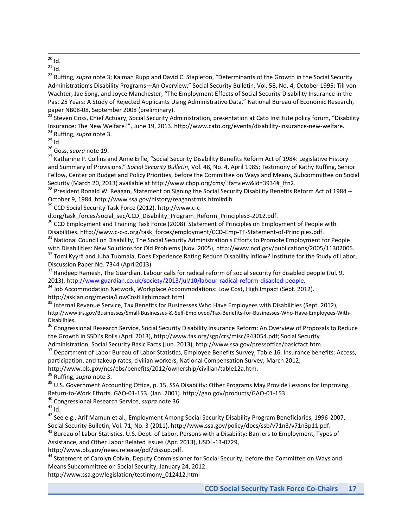$\overline{\phantom{a}}$  $^{20}$  Id.

 $^{21}$  Id.

<sup>22</sup> Ruffing, *supra* note 3; Kalman Rupp and David C. Stapleton, "Determinants of the Growth in the Social Security Administration's Disability Programs—An Overview," Social Security Bulletin, Vol. 58, No. 4, October 1995; Till von Wachter, Jae Song, and Joyce Manchester, "The Employment Effects of Social Security Disability Insurance in the Past 25 Years: A Study of Rejected Applicants Using Administrative Data," National Bureau of Economic Research, paper NB08-08, September 2008 (preliminary).

<sup>23</sup> Steven Goss, Chief Actuary, Social Security Administration, presentation at Cato Institute policy forum, "Disability Insurance: The New Welfare?", June 19, 2013. http://www.cato.org/events/disability-insurance-new-welfare. <sup>24</sup> Ruffing, *supra* note 3.

 $25$  Id.

<sup>26</sup> Goss, *supra* note 19.

<sup>27</sup> Katharine P. Collins and Anne Erfle, "Social Security Disability Benefits Reform Act of 1984: Legislative History and Summary of Provisions," *Social Security Bulletin*, Vol. 48, No. 4, April 1985; Testimony of Kathy Ruffing, Senior Fellow, Center on Budget and Policy Priorities, before the Committee on Ways and Means, Subcommittee on Social Security (March 20, 2013) available at http://www.cbpp.org/cms/?fa=view&id=3934#\_ftn2.

<sup>28</sup> President Ronald W. Reagan, Statement on Signing the Social Security Disability Benefits Reform Act of 1984 -- October 9, 1984. http://www.ssa.gov/history/reaganstmts.html#dib.

<sup>29</sup> CCD Social Security Task Force (2012). http://www.c-c-

d.org/task\_forces/social\_sec/CCD\_Disability\_Program\_Reform\_Principles3-2012.pdf.

<sup>30</sup> CCD Employment and Training Task Force (2008). Statement of Principles on Employment of People with Disabilities. http://www.c-c-d.org/task\_forces/employment/CCD-Emp-TF-Statement-of-Principles.pdf.

<sup>31</sup> National Council on Disability, The Social Security Administration's Efforts to Promote Employment for People with Disabilities: New Solutions for Old Problems (Nov. 2005), http://www.ncd.gov/publications/2005/11302005.

<sup>32</sup> Tomi Kyyrä and Juha Tuomala, Does Experience Rating Reduce Disability Inflow? Institute for the Study of Labor, Discussion Paper No. 7344 (April2013).

<sup>33</sup> Randeep Ramesh, The Guardian, Labour calls for radical reform of social security for disabled people (Jul. 9, 2013), [http://www.guardian.co.uk/society/2013/jul/10/labour-radical-reform-disabled-people.](http://www.guardian.co.uk/society/2013/jul/10/labour-radical-reform-disabled-people)

<sup>34</sup> Job Accommodation Network, Workplace Accommodations: Low Cost, High Impact (Sept. 2012). http://askjan.org/media/LowCostHighImpact.html.

<sup>35</sup> Internal Revenue Service, Tax Benefits for Businesses Who Have Employees with Disabilities (Sept. 2012), http://www.irs.gov/Businesses/Small-Businesses-&-Self-Employed/Tax-Benefits-for-Businesses-Who-Have-Employees-With-Disabilities.

<sup>36</sup> Congressional Research Service, Social Security Disability Insurance Reform: An Overview of Proposals to Reduce the Growth in SSDI's Rolls (April 2013), http://www.fas.org/sgp/crs/misc/R43054.pdf; Social Security Administration, Social Security Basic Facts (Jun. 2013), http://www.ssa.gov/pressoffice/basicfact.htm.

<sup>37</sup> Department of Labor Bureau of Labor Statistics, Employee Benefits Survey, Table 16. Insurance benefits: Access, participation, and takeup rates, civilian workers, National Compensation Survey, March 2012;

http://www.bls.gov/ncs/ebs/benefits/2012/ownership/civilian/table12a.htm.

<sup>38</sup> Ruffing, *supra* note 3.

<sup>39</sup> U.S. Government Accounting Office, p. 15, SSA Disability: Other Programs May Provide Lessons for Improving Return-to-Work Efforts. GAO-01-153. (Jan. 2001). http://gao.gov/products/GAO-01-153.

<sup>40</sup> Congressional Research Service, *supra* note 36.

 $41$  Id.

<sup>42</sup> See e.g., Arif Mamun et al., Employment Among Social Security Disability Program Beneficiaries, 1996-2007, Social Security Bulletin, Vol. 71, No. 3 (2011), http://www.ssa.gov/policy/docs/ssb/v71n3/v71n3p11.pdf.

<sup>43</sup> Bureau of Labor Statistics, U.S. Dept. of Labor, Persons with a Disability: Barriers to Employment, Types of Assistance, and Other Labor Related Issues (Apr. 2013), USDL-13-0729,

http://www.bls.gov/news.release/pdf/dissup.pdf.

<sup>44</sup> Statement of Carolyn Colvin, Deputy Commissioner for Social Security, before the Committee on Ways and Means Subcommittee on Social Security, January 24, 2012.

http://www.ssa.gov/legislation/testimony\_012412.html